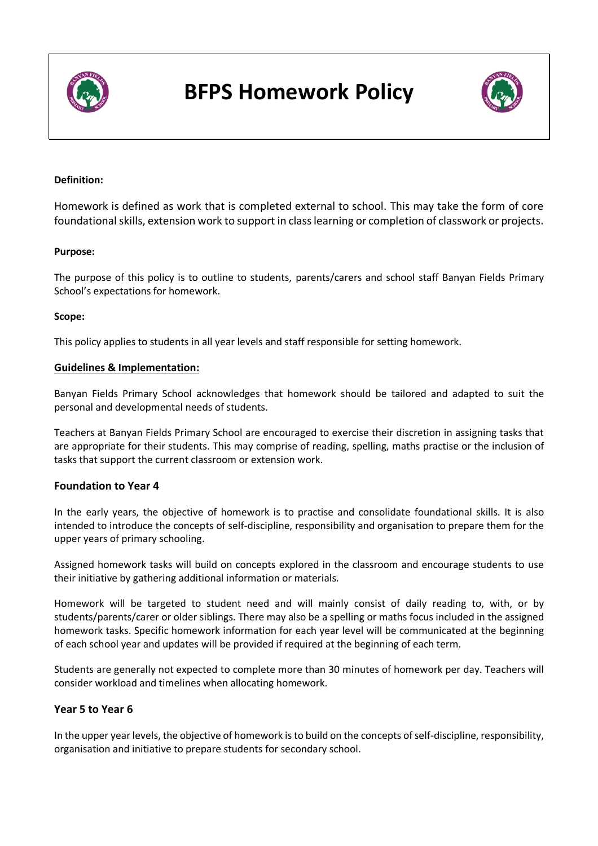

# **BFPS Homework Policy**



# **Definition:**

Homework is defined as work that is completed external to school. This may take the form of core foundational skills, extension work to support in class learning or completion of classwork or projects.

#### **Purpose:**

The purpose of this policy is to outline to students, parents/carers and school staff Banyan Fields Primary School's expectations for homework.

#### **Scope:**

This policy applies to students in all year levels and staff responsible for setting homework.

# **Guidelines & Implementation:**

Banyan Fields Primary School acknowledges that homework should be tailored and adapted to suit the personal and developmental needs of students.

Teachers at Banyan Fields Primary School are encouraged to exercise their discretion in assigning tasks that are appropriate for their students. This may comprise of reading, spelling, maths practise or the inclusion of tasks that support the current classroom or extension work.

#### **Foundation to Year 4**

In the early years, the objective of homework is to practise and consolidate foundational skills. It is also intended to introduce the concepts of self-discipline, responsibility and organisation to prepare them for the upper years of primary schooling.

Assigned homework tasks will build on concepts explored in the classroom and encourage students to use their initiative by gathering additional information or materials.

Homework will be targeted to student need and will mainly consist of daily reading to, with, or by students/parents/carer or older siblings. There may also be a spelling or maths focus included in the assigned homework tasks. Specific homework information for each year level will be communicated at the beginning of each school year and updates will be provided if required at the beginning of each term.

Students are generally not expected to complete more than 30 minutes of homework per day. Teachers will consider workload and timelines when allocating homework.

# **Year 5 to Year 6**

In the upper year levels, the objective of homework isto build on the concepts of self-discipline, responsibility, organisation and initiative to prepare students for secondary school.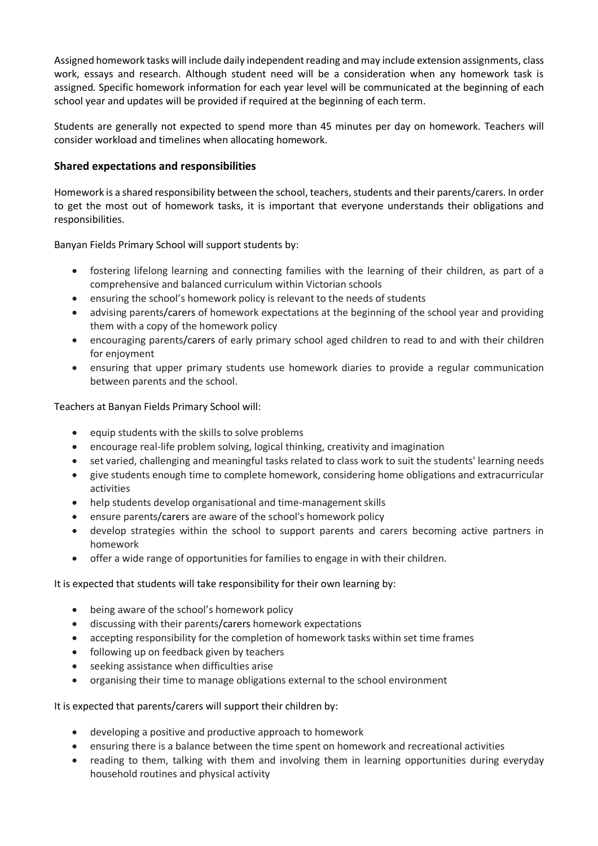Assigned homework tasks will include daily independent reading and may include extension assignments, class work, essays and research. Although student need will be a consideration when any homework task is assigned. Specific homework information for each year level will be communicated at the beginning of each school year and updates will be provided if required at the beginning of each term.

Students are generally not expected to spend more than 45 minutes per day on homework. Teachers will consider workload and timelines when allocating homework.

# **Shared expectations and responsibilities**

Homework is a shared responsibility between the school, teachers, students and their parents/carers. In order to get the most out of homework tasks, it is important that everyone understands their obligations and responsibilities.

Banyan Fields Primary School will support students by:

- fostering lifelong learning and connecting families with the learning of their children, as part of a comprehensive and balanced curriculum within Victorian schools
- ensuring the school's homework policy is relevant to the needs of students
- advising parents/carers of homework expectations at the beginning of the school year and providing them with a copy of the homework policy
- encouraging parents/carers of early primary school aged children to read to and with their children for enjoyment
- ensuring that upper primary students use homework diaries to provide a regular communication between parents and the school.

Teachers at Banyan Fields Primary School will:

- equip students with the skills to solve problems
- encourage real-life problem solving, logical thinking, creativity and imagination
- set varied, challenging and meaningful tasks related to class work to suit the students' learning needs
- give students enough time to complete homework, considering home obligations and extracurricular activities
- help students develop organisational and time-management skills
- ensure parents/carers are aware of the school's homework policy
- develop strategies within the school to support parents and carers becoming active partners in homework
- offer a wide range of opportunities for families to engage in with their children.

It is expected that students will take responsibility for their own learning by:

- being aware of the school's homework policy
- discussing with their parents/carers homework expectations
- accepting responsibility for the completion of homework tasks within set time frames
- following up on feedback given by teachers
- seeking assistance when difficulties arise
- organising their time to manage obligations external to the school environment

It is expected that parents/carers will support their children by:

- developing a positive and productive approach to homework
- ensuring there is a balance between the time spent on homework and recreational activities
- reading to them, talking with them and involving them in learning opportunities during everyday household routines and physical activity